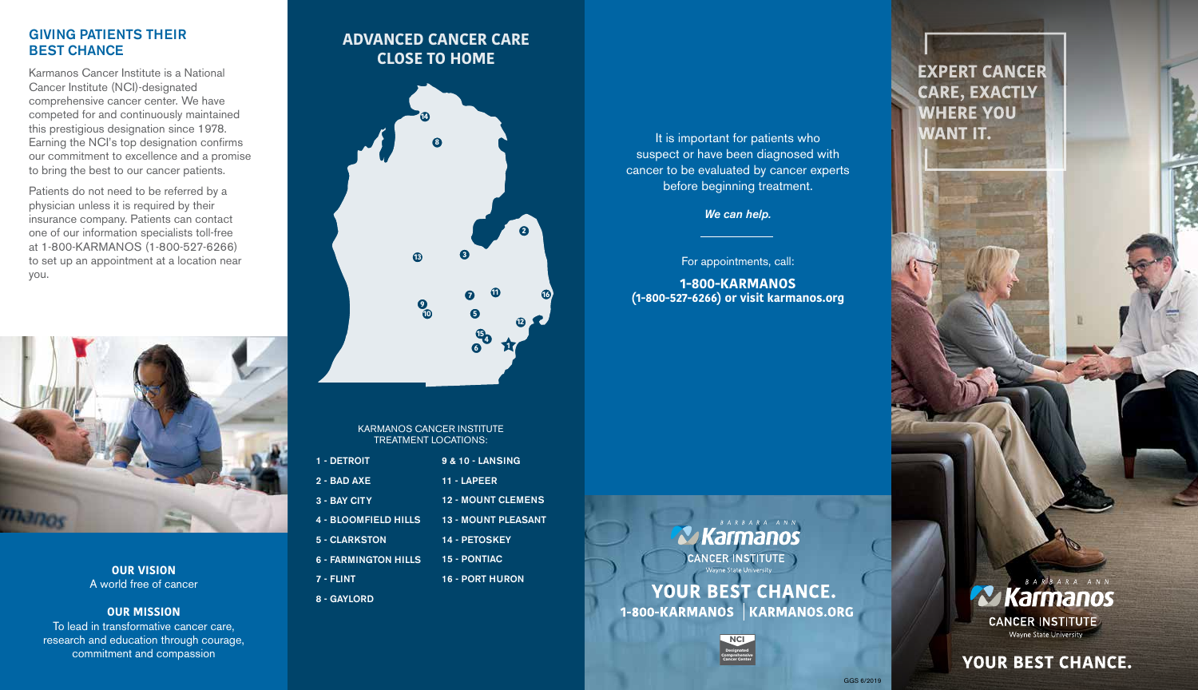#### GIVING PATIENTS THEIR BEST CHANCE

Karmanos Cancer Institute is a National Cancer Institute (NCI)-designated comprehensive cancer center. We have competed for and continuously maintained this prestigious designation since 1978. Earning the NCI's top designation confirms our commitment to excellence and a promise to bring the best to our cancer patients.

Patients do not need to be referred by a physician unless it is required by their insurance company. Patients can contact one of our information specialists toll-free at 1-800-KARMANOS (1-800-527-6266) to set up an appointment at a location near you.



**OUR VISION** A world free of cancer

**OUR MISSION**

To lead in transformative cancer care, research and education through courage, commitment and compassion

# **ADVANCED CANCER CARE CLOSE TO HOME**



KARMANOS CANCER INSTITUTE TREATMENT LOCATIONS:

| 1 - DETROIT                 | <b>9 &amp; 10 - LANSING</b> |
|-----------------------------|-----------------------------|
| $2 - BADAXE$                | 11 - LAPEER                 |
| 3 - BAY CITY                | <b>12 - MOUNT CLEMENS</b>   |
| <b>4 - BLOOMFIELD HILLS</b> | <b>13 - MOUNT PLEASANT</b>  |
| 5 - CLARKSTON               | <b>14 - PETOSKEY</b>        |
| <b>6 - FARMINGTON HILLS</b> | <b>15 - PONTIAC</b>         |
| 7 - FLINT                   | <b>16 - PORT HURON</b>      |
| 8 - GAYLORD                 |                             |

It is important for patients who suspect or have been diagnosed with cancer to be evaluated by cancer experts before beginning treatment.

*We can help.* 

For appointments, call:

**1-800-KARMANOS (1-800-527-6266) or visit karmanos.org** 

B A R B A R A A N N **Karmanos** CANCER INSTITUTE **YOUR BEST CHANCE.** 1-800-KARMANOS KARMANOS.ORG



# **EXPERT CANCER CARE, EXACTLY WHERE YOU WANT IT.**

**Zz Karmanos CANCER INSTITUTE** Wayne State University

**YOUR BEST CHANCE.**